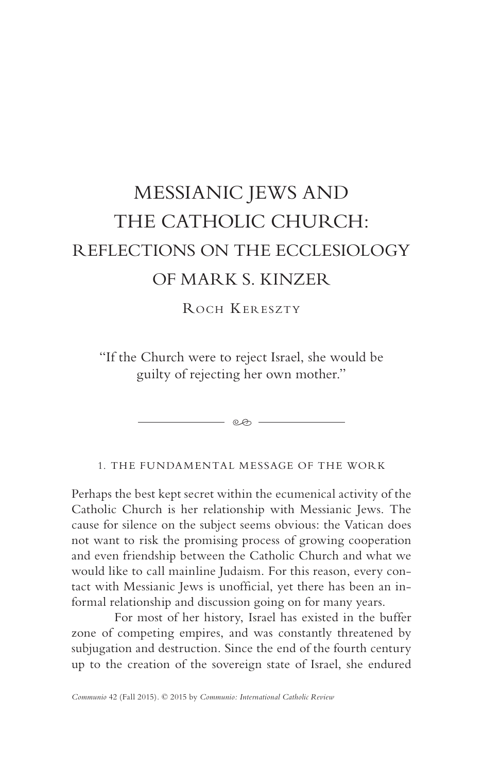# MESSIANIC JEWS AND THE CATHOLIC CHURCH: REFLECTIONS ON THE ECCLESIOLOGY OF MARK S. KINZER

ROCH KERESZTY

"If the Church were to reject Israel, she would be guilty of rejecting her own mother."

- ලෙ -

1. THE FUNDAMENTAL MESSAGE OF THE WORK

Perhaps the best kept secret within the ecumenical activity of the Catholic Church is her relationship with Messianic Jews. The cause for silence on the subject seems obvious: the Vatican does not want to risk the promising process of growing cooperation and even friendship between the Catholic Church and what we would like to call mainline Judaism. For this reason, every contact with Messianic Jews is unofficial, yet there has been an informal relationship and discussion going on for many years.

For most of her history, Israel has existed in the buffer zone of competing empires, and was constantly threatened by subjugation and destruction. Since the end of the fourth century up to the creation of the sovereign state of Israel, she endured

*Communio* 42 (Fall 2015). © 2015 by *Communio: International Catholic Review*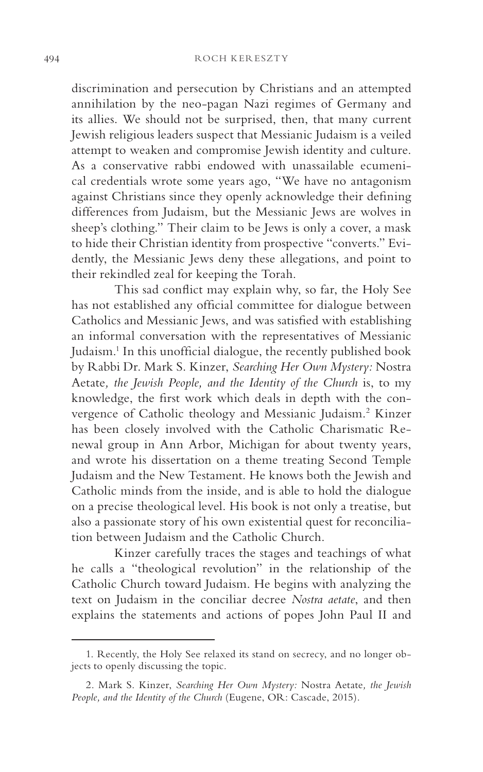discrimination and persecution by Christians and an attempted annihilation by the neo-pagan Nazi regimes of Germany and its allies. We should not be surprised, then, that many current Jewish religious leaders suspect that Messianic Judaism is a veiled attempt to weaken and compromise Jewish identity and culture. As a conservative rabbi endowed with unassailable ecumenical credentials wrote some years ago, "We have no antagonism against Christians since they openly acknowledge their defining differences from Judaism, but the Messianic Jews are wolves in sheep's clothing." Their claim to be Jews is only a cover, a mask to hide their Christian identity from prospective "converts." Evidently, the Messianic Jews deny these allegations, and point to their rekindled zeal for keeping the Torah.

This sad conflict may explain why, so far, the Holy See has not established any official committee for dialogue between Catholics and Messianic Jews, and was satisfied with establishing an informal conversation with the representatives of Messianic Judaism.<sup>1</sup> In this unofficial dialogue, the recently published book by Rabbi Dr. Mark S. Kinzer, *Searching Her Own Mystery:* Nostra Aetate*, the Jewish People, and the Identity of the Church* is, to my knowledge, the first work which deals in depth with the convergence of Catholic theology and Messianic Judaism.<sup>2</sup> Kinzer has been closely involved with the Catholic Charismatic Renewal group in Ann Arbor, Michigan for about twenty years, and wrote his dissertation on a theme treating Second Temple Judaism and the New Testament. He knows both the Jewish and Catholic minds from the inside, and is able to hold the dialogue on a precise theological level. His book is not only a treatise, but also a passionate story of his own existential quest for reconciliation between Judaism and the Catholic Church.

Kinzer carefully traces the stages and teachings of what he calls a "theological revolution" in the relationship of the Catholic Church toward Judaism. He begins with analyzing the text on Judaism in the conciliar decree *Nostra aetate*, and then explains the statements and actions of popes John Paul II and

<sup>1.</sup> Recently, the Holy See relaxed its stand on secrecy, and no longer objects to openly discussing the topic.

<sup>2.</sup> Mark S. Kinzer, *Searching Her Own Mystery:* Nostra Aetate*, the Jewish People, and the Identity of the Church* (Eugene, OR: Cascade, 2015).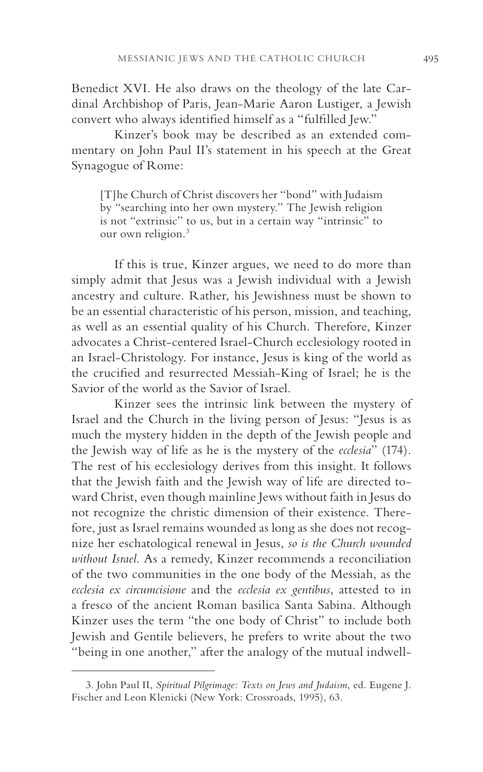Benedict XVI. He also draws on the theology of the late Cardinal Archbishop of Paris, Jean-Marie Aaron Lustiger, a Jewish convert who always identified himself as a "fulfilled Jew."

Kinzer's book may be described as an extended commentary on John Paul II's statement in his speech at the Great Synagogue of Rome:

[T]he Church of Christ discovers her "bond" with Judaism by "searching into her own mystery." The Jewish religion is not "extrinsic" to us, but in a certain way "intrinsic" to our own religion.<sup>3</sup>

If this is true, Kinzer argues, we need to do more than simply admit that Jesus was a Jewish individual with a Jewish ancestry and culture. Rather, his Jewishness must be shown to be an essential characteristic of his person, mission, and teaching, as well as an essential quality of his Church. Therefore, Kinzer advocates a Christ-centered Israel-Church ecclesiology rooted in an Israel-Christology. For instance, Jesus is king of the world as the crucified and resurrected Messiah-King of Israel; he is the Savior of the world as the Savior of Israel.

Kinzer sees the intrinsic link between the mystery of Israel and the Church in the living person of Jesus: "Jesus is as much the mystery hidden in the depth of the Jewish people and the Jewish way of life as he is the mystery of the *ecclesia*" (174). The rest of his ecclesiology derives from this insight. It follows that the Jewish faith and the Jewish way of life are directed toward Christ, even though mainline Jews without faith in Jesus do not recognize the christic dimension of their existence. Therefore, just as Israel remains wounded as long as she does not recognize her eschatological renewal in Jesus, *so is the Church wounded without Israel*. As a remedy, Kinzer recommends a reconciliation of the two communities in the one body of the Messiah, as the *ecclesia ex circumcisione* and the *ecclesia ex gentibus*, attested to in a fresco of the ancient Roman basilica Santa Sabina. Although Kinzer uses the term "the one body of Christ" to include both Jewish and Gentile believers, he prefers to write about the two "being in one another," after the analogy of the mutual indwell-

<sup>3.</sup> John Paul II, *Spiritual Pilgrimage: Texts on Jews and Judaism*, ed. Eugene J. Fischer and Leon Klenicki (New York: Crossroads, 1995), 63.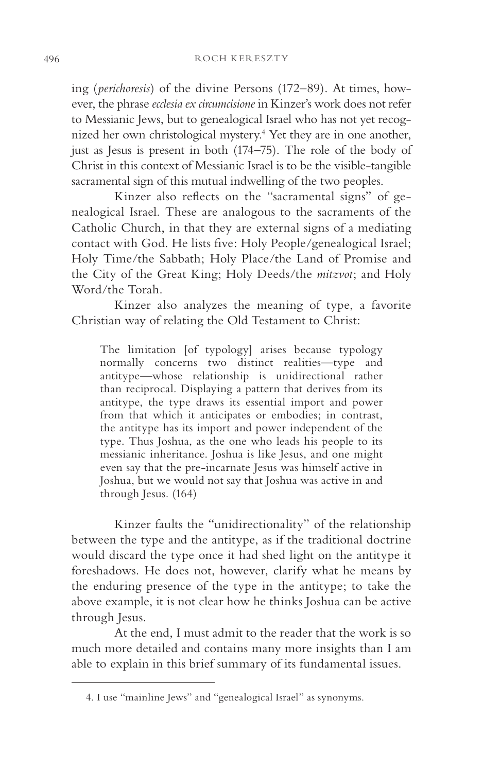ing (*perichoresis*) of the divine Persons (172–89). At times, however, the phrase *ecclesia ex circumcisione* in Kinzer's work does not refer to Messianic Jews, but to genealogical Israel who has not yet recognized her own christological mystery.4 Yet they are in one another, just as Jesus is present in both (174–75). The role of the body of Christ in this context of Messianic Israel is to be the visible-tangible sacramental sign of this mutual indwelling of the two peoples.

Kinzer also reflects on the "sacramental signs" of genealogical Israel. These are analogous to the sacraments of the Catholic Church, in that they are external signs of a mediating contact with God. He lists five: Holy People/genealogical Israel; Holy Time/the Sabbath; Holy Place/the Land of Promise and the City of the Great King; Holy Deeds/the *mitzvot*; and Holy Word/the Torah.

Kinzer also analyzes the meaning of type, a favorite Christian way of relating the Old Testament to Christ:

The limitation [of typology] arises because typology normally concerns two distinct realities—type and antitype—whose relationship is unidirectional rather than reciprocal. Displaying a pattern that derives from its antitype, the type draws its essential import and power from that which it anticipates or embodies; in contrast, the antitype has its import and power independent of the type. Thus Joshua, as the one who leads his people to its messianic inheritance. Joshua is like Jesus, and one might even say that the pre-incarnate Jesus was himself active in Joshua, but we would not say that Joshua was active in and through Jesus. (164)

Kinzer faults the "unidirectionality" of the relationship between the type and the antitype, as if the traditional doctrine would discard the type once it had shed light on the antitype it foreshadows. He does not, however, clarify what he means by the enduring presence of the type in the antitype; to take the above example, it is not clear how he thinks Joshua can be active through Jesus.

At the end, I must admit to the reader that the work is so much more detailed and contains many more insights than I am able to explain in this brief summary of its fundamental issues.

<sup>4.</sup> I use "mainline Jews" and "genealogical Israel" as synonyms.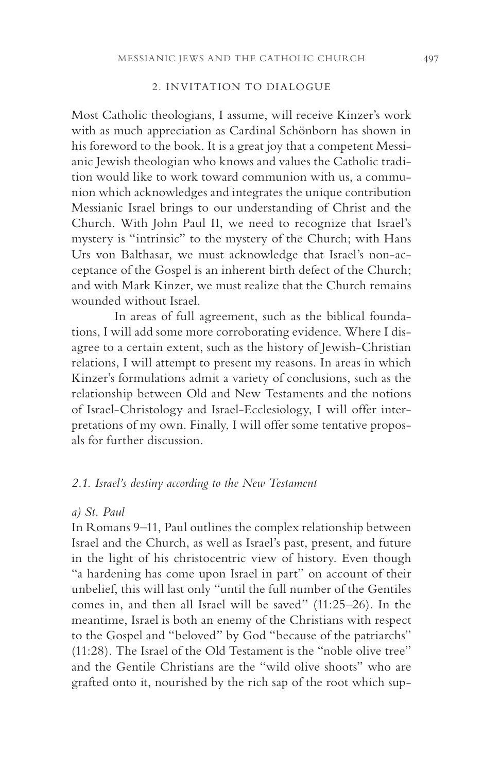## 2. INVITATION TO DIALOGUE

Most Catholic theologians, I assume, will receive Kinzer's work with as much appreciation as Cardinal Schönborn has shown in his foreword to the book. It is a great joy that a competent Messianic Jewish theologian who knows and values the Catholic tradition would like to work toward communion with us, a communion which acknowledges and integrates the unique contribution Messianic Israel brings to our understanding of Christ and the Church. With John Paul II, we need to recognize that Israel's mystery is "intrinsic" to the mystery of the Church; with Hans Urs von Balthasar, we must acknowledge that Israel's non-acceptance of the Gospel is an inherent birth defect of the Church; and with Mark Kinzer, we must realize that the Church remains wounded without Israel.

In areas of full agreement, such as the biblical foundations, I will add some more corroborating evidence. Where I disagree to a certain extent, such as the history of Jewish-Christian relations, I will attempt to present my reasons. In areas in which Kinzer's formulations admit a variety of conclusions, such as the relationship between Old and New Testaments and the notions of Israel-Christology and Israel-Ecclesiology, I will offer interpretations of my own. Finally, I will offer some tentative proposals for further discussion.

## *2.1. Israel's destiny according to the New Testament*

#### *a) St. Paul*

In Romans 9–11, Paul outlines the complex relationship between Israel and the Church, as well as Israel's past, present, and future in the light of his christocentric view of history. Even though "a hardening has come upon Israel in part" on account of their unbelief, this will last only "until the full number of the Gentiles comes in, and then all Israel will be saved" (11:25–26). In the meantime, Israel is both an enemy of the Christians with respect to the Gospel and "beloved" by God "because of the patriarchs" (11:28). The Israel of the Old Testament is the "noble olive tree" and the Gentile Christians are the "wild olive shoots" who are grafted onto it, nourished by the rich sap of the root which sup-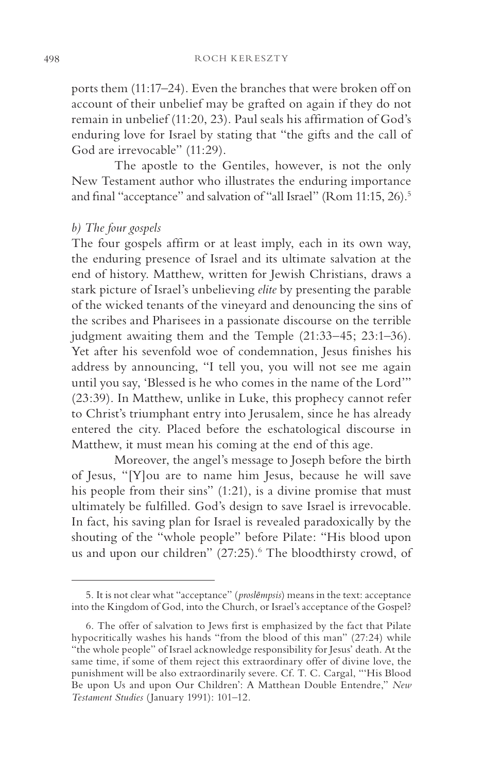ports them (11:17–24). Even the branches that were broken off on account of their unbelief may be grafted on again if they do not remain in unbelief (11:20, 23). Paul seals his affirmation of God's enduring love for Israel by stating that "the gifts and the call of God are irrevocable" (11:29).

The apostle to the Gentiles, however, is not the only New Testament author who illustrates the enduring importance and final "acceptance" and salvation of "all Israel" (Rom 11:15, 26).<sup>5</sup>

#### *b) The four gospels*

The four gospels affirm or at least imply, each in its own way, the enduring presence of Israel and its ultimate salvation at the end of history. Matthew, written for Jewish Christians, draws a stark picture of Israel's unbelieving *elite* by presenting the parable of the wicked tenants of the vineyard and denouncing the sins of the scribes and Pharisees in a passionate discourse on the terrible judgment awaiting them and the Temple (21:33–45; 23:1–36). Yet after his sevenfold woe of condemnation, Jesus finishes his address by announcing, "I tell you, you will not see me again until you say, 'Blessed is he who comes in the name of the Lord'" (23:39). In Matthew, unlike in Luke, this prophecy cannot refer to Christ's triumphant entry into Jerusalem, since he has already entered the city. Placed before the eschatological discourse in Matthew, it must mean his coming at the end of this age.

Moreover, the angel's message to Joseph before the birth of Jesus, "[Y]ou are to name him Jesus, because he will save his people from their sins" (1:21), is a divine promise that must ultimately be fulfilled. God's design to save Israel is irrevocable. In fact, his saving plan for Israel is revealed paradoxically by the shouting of the "whole people" before Pilate: "His blood upon us and upon our children" (27:25).<sup>6</sup> The bloodthirsty crowd, of

<sup>5.</sup> It is not clear what "acceptance" (*proslēmpsis*) means in the text: acceptance into the Kingdom of God, into the Church, or Israel's acceptance of the Gospel?

<sup>6.</sup> The offer of salvation to Jews first is emphasized by the fact that Pilate hypocritically washes his hands "from the blood of this man" (27:24) while "the whole people" of Israel acknowledge responsibility for Jesus' death. At the same time, if some of them reject this extraordinary offer of divine love, the punishment will be also extraordinarily severe. Cf. T. C. Cargal, "'His Blood Be upon Us and upon Our Children': A Matthean Double Entendre," *New Testament Studies* (January 1991): 101–12.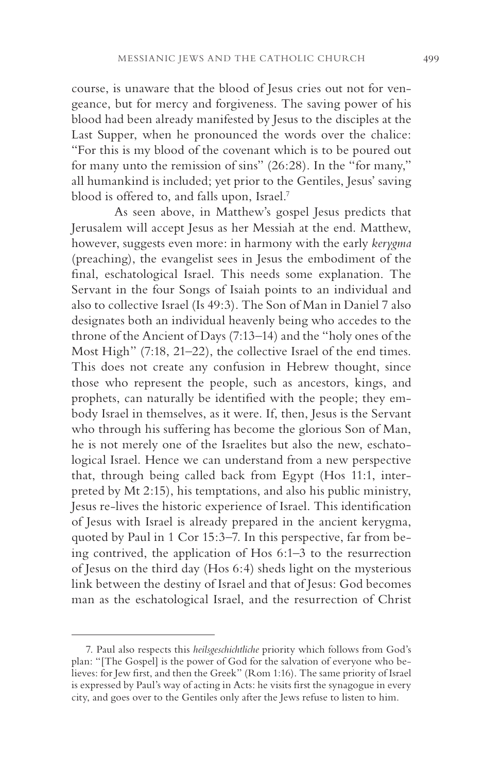course, is unaware that the blood of Jesus cries out not for vengeance, but for mercy and forgiveness. The saving power of his blood had been already manifested by Jesus to the disciples at the Last Supper, when he pronounced the words over the chalice: "For this is my blood of the covenant which is to be poured out for many unto the remission of sins" (26:28). In the "for many," all humankind is included; yet prior to the Gentiles, Jesus' saving blood is offered to, and falls upon, Israel.7

As seen above, in Matthew's gospel Jesus predicts that Jerusalem will accept Jesus as her Messiah at the end. Matthew, however, suggests even more: in harmony with the early *kerygma* (preaching), the evangelist sees in Jesus the embodiment of the final, eschatological Israel. This needs some explanation. The Servant in the four Songs of Isaiah points to an individual and also to collective Israel (Is 49:3). The Son of Man in Daniel 7 also designates both an individual heavenly being who accedes to the throne of the Ancient of Days (7:13–14) and the "holy ones of the Most High" (7:18, 21–22), the collective Israel of the end times. This does not create any confusion in Hebrew thought, since those who represent the people, such as ancestors, kings, and prophets, can naturally be identified with the people; they embody Israel in themselves, as it were. If, then, Jesus is the Servant who through his suffering has become the glorious Son of Man, he is not merely one of the Israelites but also the new, eschatological Israel. Hence we can understand from a new perspective that, through being called back from Egypt (Hos 11:1, interpreted by Mt 2:15), his temptations, and also his public ministry, Jesus re-lives the historic experience of Israel. This identification of Jesus with Israel is already prepared in the ancient kerygma, quoted by Paul in 1 Cor 15:3–7. In this perspective, far from being contrived, the application of Hos 6:1–3 to the resurrection of Jesus on the third day (Hos 6:4) sheds light on the mysterious link between the destiny of Israel and that of Jesus: God becomes man as the eschatological Israel, and the resurrection of Christ

<sup>7.</sup> Paul also respects this *heilsgeschichtliche* priority which follows from God's plan: "[The Gospel] is the power of God for the salvation of everyone who believes: for Jew first, and then the Greek" (Rom 1:16). The same priority of Israel is expressed by Paul's way of acting in Acts: he visits first the synagogue in every city, and goes over to the Gentiles only after the Jews refuse to listen to him.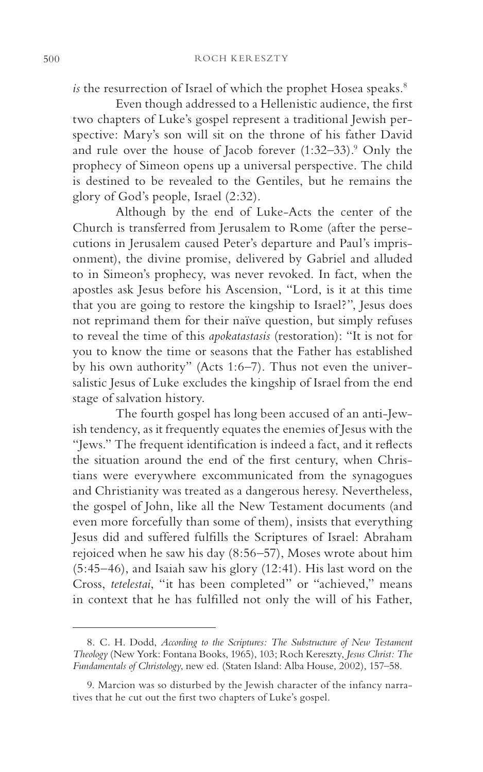*is* the resurrection of Israel of which the prophet Hosea speaks.<sup>8</sup>

Even though addressed to a Hellenistic audience, the first two chapters of Luke's gospel represent a traditional Jewish perspective: Mary's son will sit on the throne of his father David and rule over the house of Jacob forever (1:32–33).<sup>9</sup> Only the prophecy of Simeon opens up a universal perspective. The child is destined to be revealed to the Gentiles, but he remains the glory of God's people, Israel (2:32).

Although by the end of Luke-Acts the center of the Church is transferred from Jerusalem to Rome (after the persecutions in Jerusalem caused Peter's departure and Paul's imprisonment), the divine promise, delivered by Gabriel and alluded to in Simeon's prophecy, was never revoked. In fact, when the apostles ask Jesus before his Ascension, "Lord, is it at this time that you are going to restore the kingship to Israel?", Jesus does not reprimand them for their naïve question, but simply refuses to reveal the time of this *apokatastasis* (restoration): "It is not for you to know the time or seasons that the Father has established by his own authority" (Acts 1:6–7). Thus not even the universalistic Jesus of Luke excludes the kingship of Israel from the end stage of salvation history.

The fourth gospel has long been accused of an anti-Jewish tendency, as it frequently equates the enemies of Jesus with the "Jews." The frequent identification is indeed a fact, and it reflects the situation around the end of the first century, when Christians were everywhere excommunicated from the synagogues and Christianity was treated as a dangerous heresy. Nevertheless, the gospel of John, like all the New Testament documents (and even more forcefully than some of them), insists that everything Jesus did and suffered fulfills the Scriptures of Israel: Abraham rejoiced when he saw his day (8:56–57), Moses wrote about him (5:45–46), and Isaiah saw his glory (12:41). His last word on the Cross, *tetelestai*, "it has been completed" or "achieved," means in context that he has fulfilled not only the will of his Father,

<sup>8.</sup> C. H. Dodd, *According to the Scriptures: The Substructure of New Testament Theology* (New York: Fontana Books, 1965), 103; Roch Kereszty, *Jesus Christ: The Fundamentals of Christology*, new ed*.* (Staten Island: Alba House, 2002), 157–58.

<sup>9.</sup> Marcion was so disturbed by the Jewish character of the infancy narratives that he cut out the first two chapters of Luke's gospel.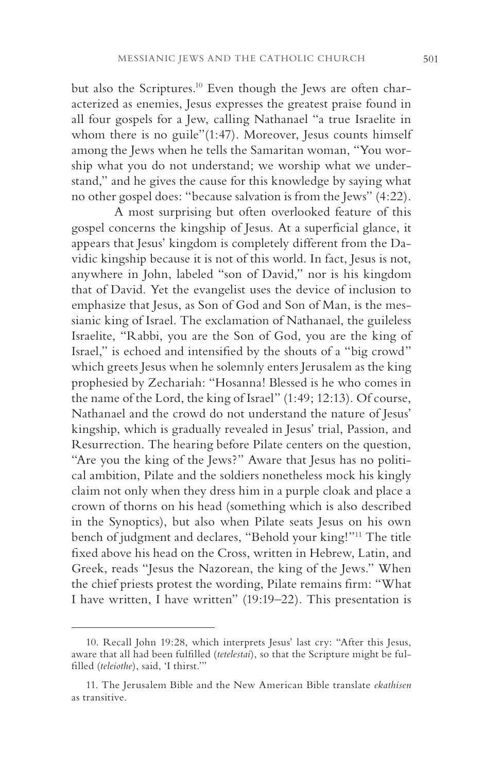but also the Scriptures.<sup>10</sup> Even though the Jews are often characterized as enemies, Jesus expresses the greatest praise found in all four gospels for a Jew, calling Nathanael "a true Israelite in whom there is no guile"(1:47). Moreover, Jesus counts himself among the Jews when he tells the Samaritan woman, "You worship what you do not understand; we worship what we understand," and he gives the cause for this knowledge by saying what no other gospel does: "because salvation is from the Jews" (4:22).

A most surprising but often overlooked feature of this gospel concerns the kingship of Jesus. At a superficial glance, it appears that Jesus' kingdom is completely different from the Davidic kingship because it is not of this world. In fact, Jesus is not, anywhere in John, labeled "son of David," nor is his kingdom that of David. Yet the evangelist uses the device of inclusion to emphasize that Jesus, as Son of God and Son of Man, is the messianic king of Israel. The exclamation of Nathanael, the guileless Israelite, "Rabbi, you are the Son of God, you are the king of Israel," is echoed and intensified by the shouts of a "big crowd" which greets Jesus when he solemnly enters Jerusalem as the king prophesied by Zechariah: "Hosanna! Blessed is he who comes in the name of the Lord, the king of Israel" (1:49; 12:13). Of course, Nathanael and the crowd do not understand the nature of Jesus' kingship, which is gradually revealed in Jesus' trial, Passion, and Resurrection. The hearing before Pilate centers on the question, "Are you the king of the Jews?" Aware that Jesus has no political ambition, Pilate and the soldiers nonetheless mock his kingly claim not only when they dress him in a purple cloak and place a crown of thorns on his head (something which is also described in the Synoptics), but also when Pilate seats Jesus on his own bench of judgment and declares, "Behold your king!"11 The title fixed above his head on the Cross, written in Hebrew, Latin, and Greek, reads "Jesus the Nazorean, the king of the Jews." When the chief priests protest the wording, Pilate remains firm: "What I have written, I have written" (19:19–22). This presentation is

<sup>10.</sup> Recall John 19:28, which interprets Jesus' last cry: "After this Jesus, aware that all had been fulfilled (*tetelestai*), so that the Scripture might be fulfilled (*teleiothe*), said, 'I thirst.'"

<sup>11.</sup> The Jerusalem Bible and the New American Bible translate *ekathisen*  as transitive.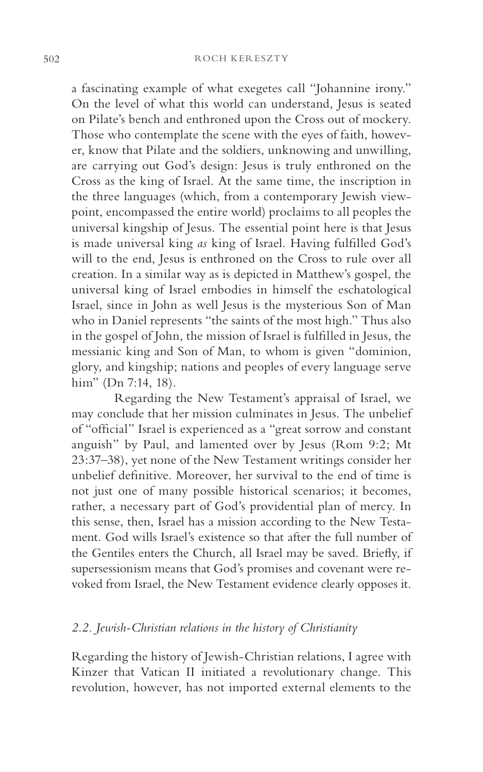a fascinating example of what exegetes call "Johannine irony." On the level of what this world can understand, Jesus is seated on Pilate's bench and enthroned upon the Cross out of mockery. Those who contemplate the scene with the eyes of faith, however, know that Pilate and the soldiers, unknowing and unwilling, are carrying out God's design: Jesus is truly enthroned on the Cross as the king of Israel. At the same time, the inscription in the three languages (which, from a contemporary Jewish viewpoint, encompassed the entire world) proclaims to all peoples the universal kingship of Jesus. The essential point here is that Jesus is made universal king *as* king of Israel. Having fulfilled God's will to the end, Jesus is enthroned on the Cross to rule over all creation. In a similar way as is depicted in Matthew's gospel, the universal king of Israel embodies in himself the eschatological Israel, since in John as well Jesus is the mysterious Son of Man who in Daniel represents "the saints of the most high." Thus also in the gospel of John, the mission of Israel is fulfilled in Jesus, the messianic king and Son of Man, to whom is given "dominion, glory, and kingship; nations and peoples of every language serve him" (Dn 7:14, 18).

Regarding the New Testament's appraisal of Israel, we may conclude that her mission culminates in Jesus. The unbelief of "official" Israel is experienced as a "great sorrow and constant anguish" by Paul, and lamented over by Jesus (Rom 9:2; Mt 23:37–38), yet none of the New Testament writings consider her unbelief definitive. Moreover, her survival to the end of time is not just one of many possible historical scenarios; it becomes, rather, a necessary part of God's providential plan of mercy. In this sense, then, Israel has a mission according to the New Testament. God wills Israel's existence so that after the full number of the Gentiles enters the Church, all Israel may be saved. Briefly, if supersessionism means that God's promises and covenant were revoked from Israel, the New Testament evidence clearly opposes it.

# *2.2. Jewish-Christian relations in the history of Christianity*

Regarding the history of Jewish-Christian relations, I agree with Kinzer that Vatican II initiated a revolutionary change. This revolution, however, has not imported external elements to the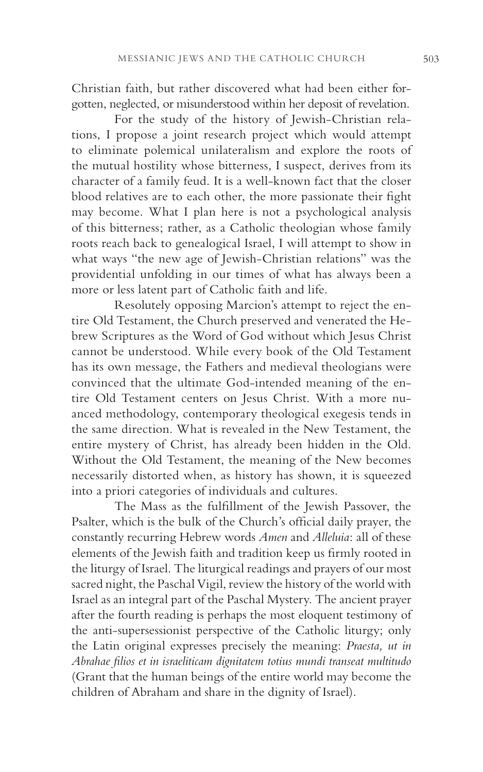Christian faith, but rather discovered what had been either forgotten, neglected, or misunderstood within her deposit of revelation.

For the study of the history of Jewish-Christian relations, I propose a joint research project which would attempt to eliminate polemical unilateralism and explore the roots of the mutual hostility whose bitterness, I suspect, derives from its character of a family feud. It is a well-known fact that the closer blood relatives are to each other, the more passionate their fight may become. What I plan here is not a psychological analysis of this bitterness; rather, as a Catholic theologian whose family roots reach back to genealogical Israel, I will attempt to show in what ways "the new age of Jewish-Christian relations" was the providential unfolding in our times of what has always been a more or less latent part of Catholic faith and life.

Resolutely opposing Marcion's attempt to reject the entire Old Testament, the Church preserved and venerated the Hebrew Scriptures as the Word of God without which Jesus Christ cannot be understood. While every book of the Old Testament has its own message, the Fathers and medieval theologians were convinced that the ultimate God-intended meaning of the entire Old Testament centers on Jesus Christ. With a more nuanced methodology, contemporary theological exegesis tends in the same direction. What is revealed in the New Testament, the entire mystery of Christ, has already been hidden in the Old. Without the Old Testament, the meaning of the New becomes necessarily distorted when, as history has shown, it is squeezed into a priori categories of individuals and cultures.

The Mass as the fulfillment of the Jewish Passover, the Psalter, which is the bulk of the Church's official daily prayer, the constantly recurring Hebrew words *Amen* and *Alleluia*: all of these elements of the Jewish faith and tradition keep us firmly rooted in the liturgy of Israel. The liturgical readings and prayers of our most sacred night, the Paschal Vigil, review the history of the world with Israel as an integral part of the Paschal Mystery. The ancient prayer after the fourth reading is perhaps the most eloquent testimony of the anti-supersessionist perspective of the Catholic liturgy; only the Latin original expresses precisely the meaning: *Praesta, ut in Abrahae filios et in israeliticam dignitatem totius mundi transeat multitudo*  (Grant that the human beings of the entire world may become the children of Abraham and share in the dignity of Israel).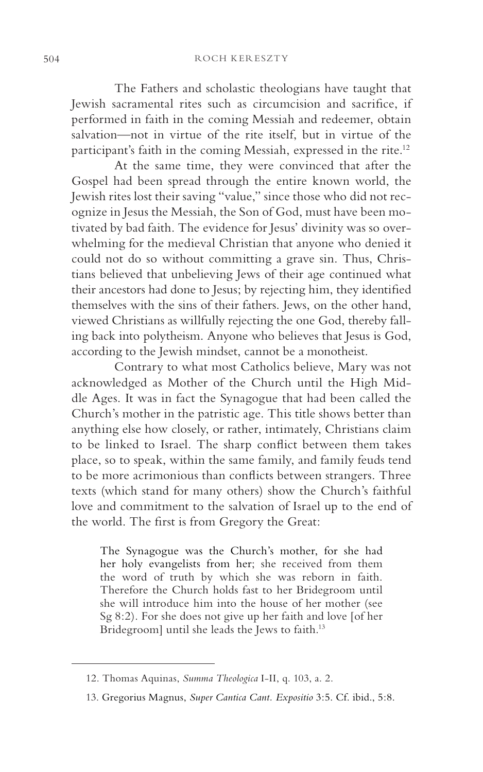The Fathers and scholastic theologians have taught that Jewish sacramental rites such as circumcision and sacrifice, if performed in faith in the coming Messiah and redeemer, obtain salvation—not in virtue of the rite itself, but in virtue of the participant's faith in the coming Messiah, expressed in the rite.12

At the same time, they were convinced that after the Gospel had been spread through the entire known world, the Jewish rites lost their saving "value," since those who did not recognize in Jesus the Messiah, the Son of God, must have been motivated by bad faith. The evidence for Jesus' divinity was so overwhelming for the medieval Christian that anyone who denied it could not do so without committing a grave sin. Thus, Christians believed that unbelieving Jews of their age continued what their ancestors had done to Jesus; by rejecting him, they identified themselves with the sins of their fathers. Jews, on the other hand, viewed Christians as willfully rejecting the one God, thereby falling back into polytheism. Anyone who believes that Jesus is God, according to the Jewish mindset, cannot be a monotheist.

Contrary to what most Catholics believe, Mary was not acknowledged as Mother of the Church until the High Middle Ages. It was in fact the Synagogue that had been called the Church's mother in the patristic age. This title shows better than anything else how closely, or rather, intimately, Christians claim to be linked to Israel. The sharp conflict between them takes place, so to speak, within the same family, and family feuds tend to be more acrimonious than conflicts between strangers. Three texts (which stand for many others) show the Church's faithful love and commitment to the salvation of Israel up to the end of the world. The first is from Gregory the Great:

The Synagogue was the Church's mother, for she had her holy evangelists from her; she received from them the word of truth by which she was reborn in faith. Therefore the Church holds fast to her Bridegroom until she will introduce him into the house of her mother (see Sg 8:2). For she does not give up her faith and love [of her Bridegroom] until she leads the Jews to faith.<sup>13</sup>

<sup>12.</sup> Thomas Aquinas, *Summa Theologica* I-II, q. 103, a. 2.

<sup>13.</sup> Gregorius Magnus, *Super Cantica Cant. Expositio* 3:5. Cf. ibid., 5:8.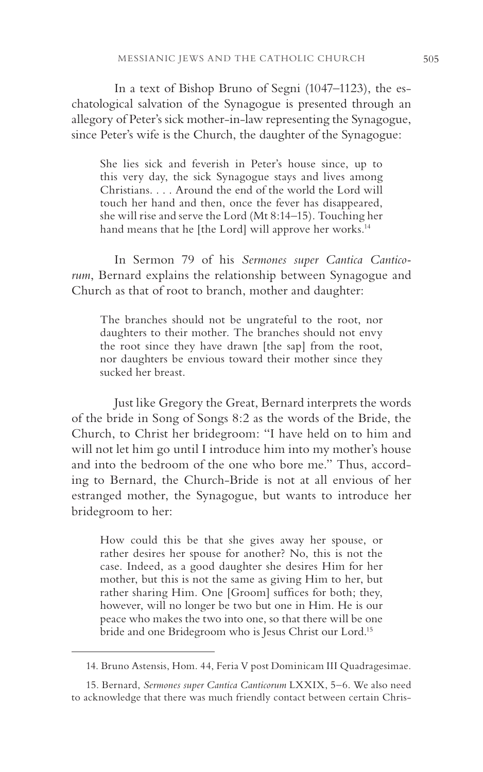In a text of Bishop Bruno of Segni (1047–1123), the eschatological salvation of the Synagogue is presented through an allegory of Peter's sick mother-in-law representing the Synagogue, since Peter's wife is the Church, the daughter of the Synagogue:

She lies sick and feverish in Peter's house since, up to this very day, the sick Synagogue stays and lives among Christians. . . . Around the end of the world the Lord will touch her hand and then, once the fever has disappeared, she will rise and serve the Lord (Mt 8:14–15). Touching her hand means that he [the Lord] will approve her works.<sup>14</sup>

In Sermon 79 of his *Sermones super Cantica Canticorum*, Bernard explains the relationship between Synagogue and Church as that of root to branch, mother and daughter:

The branches should not be ungrateful to the root, nor daughters to their mother. The branches should not envy the root since they have drawn [the sap] from the root, nor daughters be envious toward their mother since they sucked her breast.

Just like Gregory the Great, Bernard interprets the words of the bride in Song of Songs 8:2 as the words of the Bride, the Church, to Christ her bridegroom: "I have held on to him and will not let him go until I introduce him into my mother's house and into the bedroom of the one who bore me." Thus, according to Bernard, the Church-Bride is not at all envious of her estranged mother, the Synagogue, but wants to introduce her bridegroom to her:

How could this be that she gives away her spouse, or rather desires her spouse for another? No, this is not the case. Indeed, as a good daughter she desires Him for her mother, but this is not the same as giving Him to her, but rather sharing Him. One [Groom] suffices for both; they, however, will no longer be two but one in Him. He is our peace who makes the two into one, so that there will be one bride and one Bridegroom who is Jesus Christ our Lord.15

<sup>14.</sup> Bruno Astensis, Hom. 44, Feria V post Dominicam III Quadragesimae.

<sup>15.</sup> Bernard, *Sermones super Cantica Canticorum* LXXIX, 5–6. We also need to acknowledge that there was much friendly contact between certain Chris-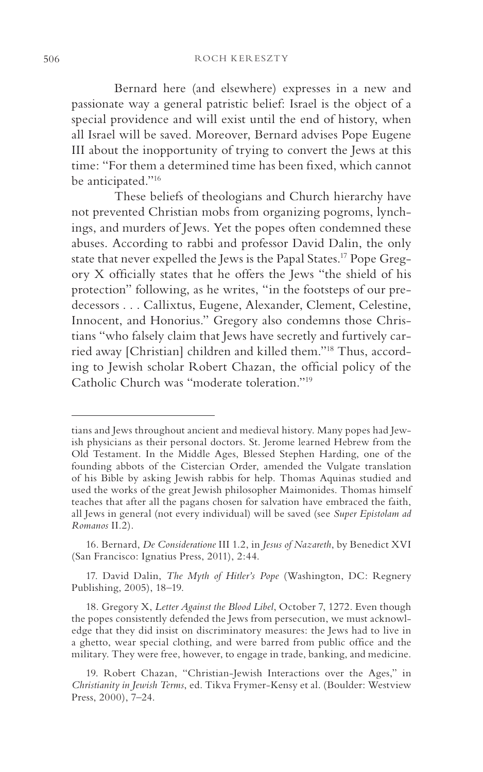Bernard here (and elsewhere) expresses in a new and passionate way a general patristic belief: Israel is the object of a special providence and will exist until the end of history, when all Israel will be saved. Moreover, Bernard advises Pope Eugene III about the inopportunity of trying to convert the Jews at this time: "For them a determined time has been fixed, which cannot be anticipated."16

These beliefs of theologians and Church hierarchy have not prevented Christian mobs from organizing pogroms, lynchings, and murders of Jews. Yet the popes often condemned these abuses. According to rabbi and professor David Dalin, the only state that never expelled the Jews is the Papal States.17 Pope Gregory X officially states that he offers the Jews "the shield of his protection" following, as he writes, "in the footsteps of our predecessors . . . Callixtus, Eugene, Alexander, Clement, Celestine, Innocent, and Honorius." Gregory also condemns those Christians "who falsely claim that Jews have secretly and furtively carried away [Christian] children and killed them."18 Thus, according to Jewish scholar Robert Chazan, the official policy of the Catholic Church was "moderate toleration."19

17. David Dalin, *The Myth of Hitler's Pope* (Washington, DC: Regnery Publishing, 2005), 18–19.

tians and Jews throughout ancient and medieval history. Many popes had Jewish physicians as their personal doctors. St. Jerome learned Hebrew from the Old Testament. In the Middle Ages, Blessed Stephen Harding, one of the founding abbots of the Cistercian Order, amended the Vulgate translation of his Bible by asking Jewish rabbis for help. Thomas Aquinas studied and used the works of the great Jewish philosopher Maimonides. Thomas himself teaches that after all the pagans chosen for salvation have embraced the faith, all Jews in general (not every individual) will be saved (see *Super Epistolam ad Romanos* II.2).

<sup>16.</sup> Bernard, *De Consideratione* III 1.2, in *Jesus of Nazareth*, by Benedict XVI (San Francisco: Ignatius Press, 2011), 2:44.

<sup>18.</sup> Gregory X, *Letter Against the Blood Libel*, October 7, 1272. Even though the popes consistently defended the Jews from persecution, we must acknowledge that they did insist on discriminatory measures: the Jews had to live in a ghetto, wear special clothing, and were barred from public office and the military. They were free, however, to engage in trade, banking, and medicine.

<sup>19.</sup> Robert Chazan, "Christian-Jewish Interactions over the Ages," in *Christianity in Jewish Terms*, ed. Tikva Frymer-Kensy et al. (Boulder: Westview Press, 2000), 7–24.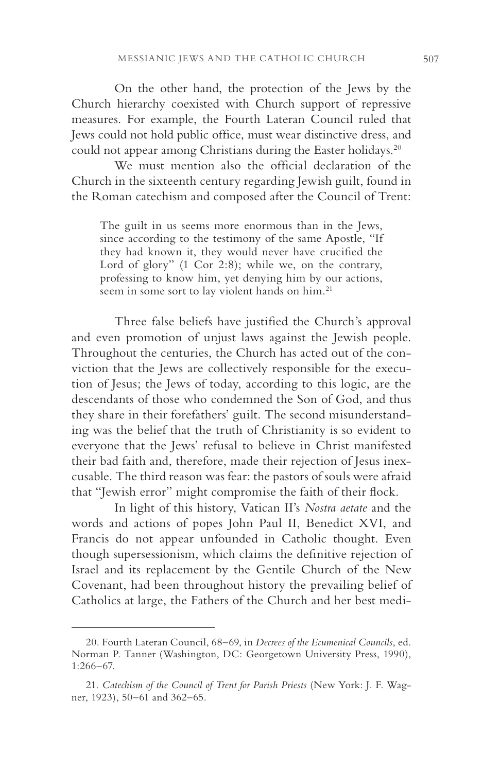On the other hand, the protection of the Jews by the Church hierarchy coexisted with Church support of repressive measures. For example, the Fourth Lateran Council ruled that Jews could not hold public office, must wear distinctive dress, and could not appear among Christians during the Easter holidays.<sup>20</sup>

We must mention also the official declaration of the Church in the sixteenth century regarding Jewish guilt, found in the Roman catechism and composed after the Council of Trent:

The guilt in us seems more enormous than in the Jews, since according to the testimony of the same Apostle, "If they had known it, they would never have crucified the Lord of glory" (1 Cor 2:8); while we, on the contrary, professing to know him, yet denying him by our actions, seem in some sort to lay violent hands on him.<sup>21</sup>

Three false beliefs have justified the Church's approval and even promotion of unjust laws against the Jewish people. Throughout the centuries, the Church has acted out of the conviction that the Jews are collectively responsible for the execution of Jesus; the Jews of today, according to this logic, are the descendants of those who condemned the Son of God, and thus they share in their forefathers' guilt. The second misunderstanding was the belief that the truth of Christianity is so evident to everyone that the Jews' refusal to believe in Christ manifested their bad faith and, therefore, made their rejection of Jesus inexcusable. The third reason was fear: the pastors of souls were afraid that "Jewish error" might compromise the faith of their flock.

In light of this history, Vatican II's *Nostra aetate* and the words and actions of popes John Paul II, Benedict XVI, and Francis do not appear unfounded in Catholic thought. Even though supersessionism, which claims the definitive rejection of Israel and its replacement by the Gentile Church of the New Covenant, had been throughout history the prevailing belief of Catholics at large, the Fathers of the Church and her best medi-

<sup>20.</sup> Fourth Lateran Council, 68–69, in *Decrees of the Ecumenical Councils*, ed. Norman P. Tanner (Washington, DC: Georgetown University Press, 1990), 1:266–67.

<sup>21.</sup> *Catechism of the Council of Trent for Parish Priests* (New York: J. F. Wagner, 1923), 50–61 and 362–65.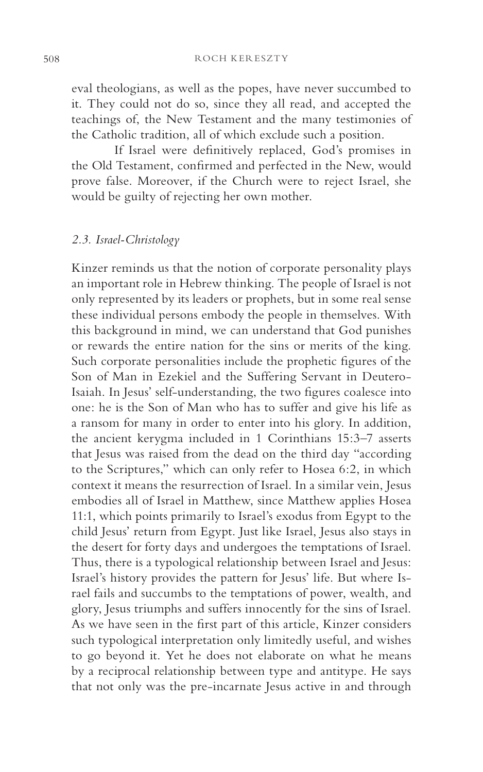508 ROCH KERESZTY

eval theologians, as well as the popes, have never succumbed to it. They could not do so, since they all read, and accepted the teachings of, the New Testament and the many testimonies of the Catholic tradition, all of which exclude such a position.

If Israel were definitively replaced, God's promises in the Old Testament, confirmed and perfected in the New, would prove false. Moreover, if the Church were to reject Israel, she would be guilty of rejecting her own mother.

# *2.3. Israel-Christology*

Kinzer reminds us that the notion of corporate personality plays an important role in Hebrew thinking. The people of Israel is not only represented by its leaders or prophets, but in some real sense these individual persons embody the people in themselves. With this background in mind, we can understand that God punishes or rewards the entire nation for the sins or merits of the king. Such corporate personalities include the prophetic figures of the Son of Man in Ezekiel and the Suffering Servant in Deutero-Isaiah. In Jesus' self-understanding, the two figures coalesce into one: he is the Son of Man who has to suffer and give his life as a ransom for many in order to enter into his glory. In addition, the ancient kerygma included in 1 Corinthians 15:3–7 asserts that Jesus was raised from the dead on the third day "according to the Scriptures," which can only refer to Hosea 6:2, in which context it means the resurrection of Israel. In a similar vein, Jesus embodies all of Israel in Matthew, since Matthew applies Hosea 11:1, which points primarily to Israel's exodus from Egypt to the child Jesus' return from Egypt. Just like Israel, Jesus also stays in the desert for forty days and undergoes the temptations of Israel. Thus, there is a typological relationship between Israel and Jesus: Israel's history provides the pattern for Jesus' life. But where Israel fails and succumbs to the temptations of power, wealth, and glory, Jesus triumphs and suffers innocently for the sins of Israel. As we have seen in the first part of this article, Kinzer considers such typological interpretation only limitedly useful, and wishes to go beyond it. Yet he does not elaborate on what he means by a reciprocal relationship between type and antitype. He says that not only was the pre-incarnate Jesus active in and through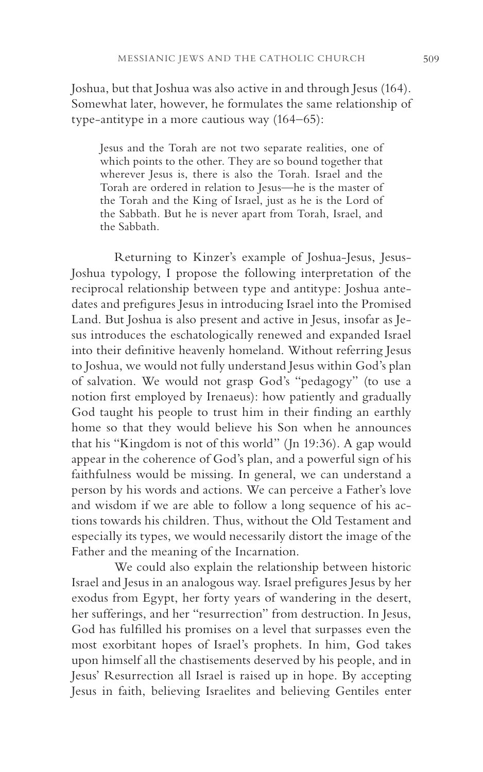Joshua, but that Joshua was also active in and through Jesus (164). Somewhat later, however, he formulates the same relationship of type-antitype in a more cautious way (164–65):

Jesus and the Torah are not two separate realities, one of which points to the other. They are so bound together that wherever Jesus is, there is also the Torah. Israel and the Torah are ordered in relation to Jesus—he is the master of the Torah and the King of Israel, just as he is the Lord of the Sabbath. But he is never apart from Torah, Israel, and the Sabbath.

Returning to Kinzer's example of Joshua-Jesus, Jesus-Joshua typology, I propose the following interpretation of the reciprocal relationship between type and antitype: Joshua antedates and prefigures Jesus in introducing Israel into the Promised Land. But Joshua is also present and active in Jesus, insofar as Jesus introduces the eschatologically renewed and expanded Israel into their definitive heavenly homeland. Without referring Jesus to Joshua, we would not fully understand Jesus within God's plan of salvation. We would not grasp God's "pedagogy" (to use a notion first employed by Irenaeus): how patiently and gradually God taught his people to trust him in their finding an earthly home so that they would believe his Son when he announces that his "Kingdom is not of this world" (Jn 19:36). A gap would appear in the coherence of God's plan, and a powerful sign of his faithfulness would be missing. In general, we can understand a person by his words and actions. We can perceive a Father's love and wisdom if we are able to follow a long sequence of his actions towards his children. Thus, without the Old Testament and especially its types, we would necessarily distort the image of the Father and the meaning of the Incarnation.

We could also explain the relationship between historic Israel and Jesus in an analogous way. Israel prefigures Jesus by her exodus from Egypt, her forty years of wandering in the desert, her sufferings, and her "resurrection" from destruction. In Jesus, God has fulfilled his promises on a level that surpasses even the most exorbitant hopes of Israel's prophets. In him, God takes upon himself all the chastisements deserved by his people, and in Jesus' Resurrection all Israel is raised up in hope. By accepting Jesus in faith, believing Israelites and believing Gentiles enter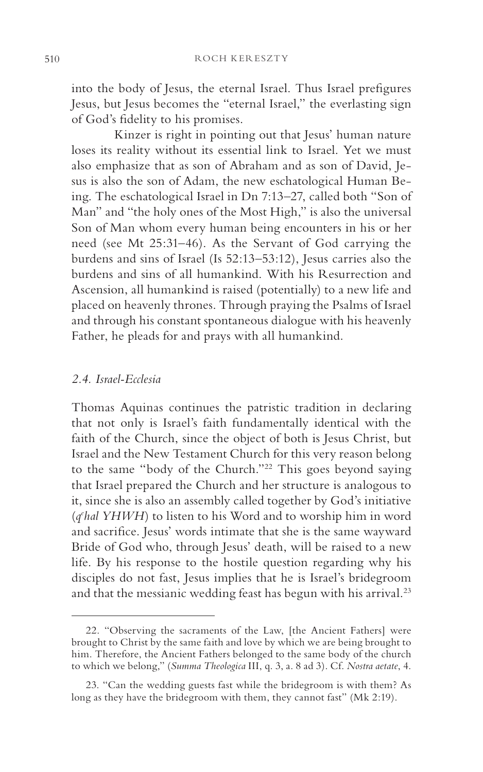into the body of Jesus, the eternal Israel. Thus Israel prefigures Jesus, but Jesus becomes the "eternal Israel," the everlasting sign of God's fidelity to his promises.

Kinzer is right in pointing out that Jesus' human nature loses its reality without its essential link to Israel. Yet we must also emphasize that as son of Abraham and as son of David, Jesus is also the son of Adam, the new eschatological Human Being. The eschatological Israel in Dn 7:13–27, called both "Son of Man" and "the holy ones of the Most High," is also the universal Son of Man whom every human being encounters in his or her need (see Mt 25:31–46). As the Servant of God carrying the burdens and sins of Israel (Is 52:13–53:12), Jesus carries also the burdens and sins of all humankind. With his Resurrection and Ascension, all humankind is raised (potentially) to a new life and placed on heavenly thrones. Through praying the Psalms of Israel and through his constant spontaneous dialogue with his heavenly Father, he pleads for and prays with all humankind.

#### *2.4. Israel-Ecclesia*

Thomas Aquinas continues the patristic tradition in declaring that not only is Israel's faith fundamentally identical with the faith of the Church, since the object of both is Jesus Christ, but Israel and the New Testament Church for this very reason belong to the same "body of the Church."22 This goes beyond saying that Israel prepared the Church and her structure is analogous to it, since she is also an assembly called together by God's initiative (*qe hal YHWH*) to listen to his Word and to worship him in word and sacrifice. Jesus' words intimate that she is the same wayward Bride of God who, through Jesus' death, will be raised to a new life. By his response to the hostile question regarding why his disciples do not fast, Jesus implies that he is Israel's bridegroom and that the messianic wedding feast has begun with his arrival.<sup>23</sup>

<sup>22. &</sup>quot;Observing the sacraments of the Law, [the Ancient Fathers] were brought to Christ by the same faith and love by which we are being brought to him. Therefore, the Ancient Fathers belonged to the same body of the church to which we belong," (*Summa Theologica* III, q. 3, a. 8 ad 3). Cf. *Nostra aetate*, 4.

<sup>23. &</sup>quot;Can the wedding guests fast while the bridegroom is with them? As long as they have the bridegroom with them, they cannot fast" (Mk 2:19).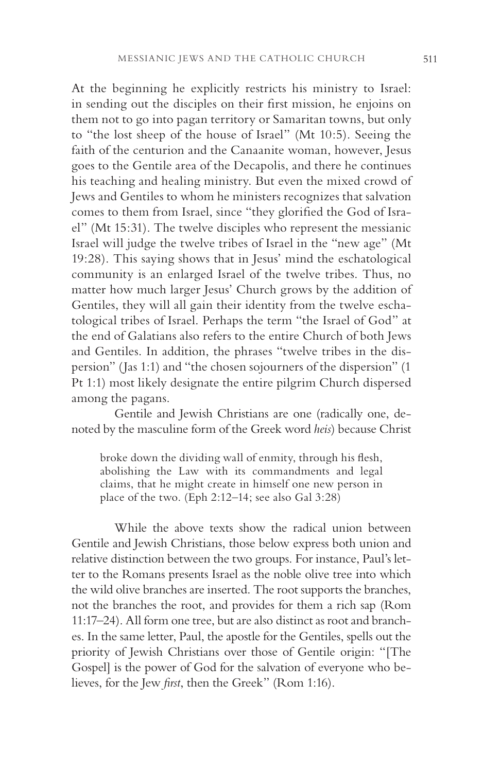At the beginning he explicitly restricts his ministry to Israel: in sending out the disciples on their first mission, he enjoins on them not to go into pagan territory or Samaritan towns, but only to "the lost sheep of the house of Israel" (Mt 10:5). Seeing the faith of the centurion and the Canaanite woman, however, Jesus goes to the Gentile area of the Decapolis, and there he continues his teaching and healing ministry. But even the mixed crowd of Jews and Gentiles to whom he ministers recognizes that salvation comes to them from Israel, since "they glorified the God of Israel" (Mt 15:31). The twelve disciples who represent the messianic Israel will judge the twelve tribes of Israel in the "new age" (Mt 19:28). This saying shows that in Jesus' mind the eschatological community is an enlarged Israel of the twelve tribes. Thus, no matter how much larger Jesus' Church grows by the addition of Gentiles, they will all gain their identity from the twelve eschatological tribes of Israel. Perhaps the term "the Israel of God" at the end of Galatians also refers to the entire Church of both Jews and Gentiles. In addition, the phrases "twelve tribes in the dispersion" (Jas 1:1) and "the chosen sojourners of the dispersion" (1 Pt 1:1) most likely designate the entire pilgrim Church dispersed among the pagans.

Gentile and Jewish Christians are one (radically one, denoted by the masculine form of the Greek word *heis*) because Christ

broke down the dividing wall of enmity, through his flesh, abolishing the Law with its commandments and legal claims, that he might create in himself one new person in place of the two. (Eph 2:12–14; see also Gal 3:28)

While the above texts show the radical union between Gentile and Jewish Christians, those below express both union and relative distinction between the two groups. For instance, Paul's letter to the Romans presents Israel as the noble olive tree into which the wild olive branches are inserted. The root supports the branches, not the branches the root, and provides for them a rich sap (Rom 11:17–24). All form one tree, but are also distinct as root and branches. In the same letter, Paul, the apostle for the Gentiles, spells out the priority of Jewish Christians over those of Gentile origin: "[The Gospel] is the power of God for the salvation of everyone who believes, for the Jew *first*, then the Greek" (Rom 1:16).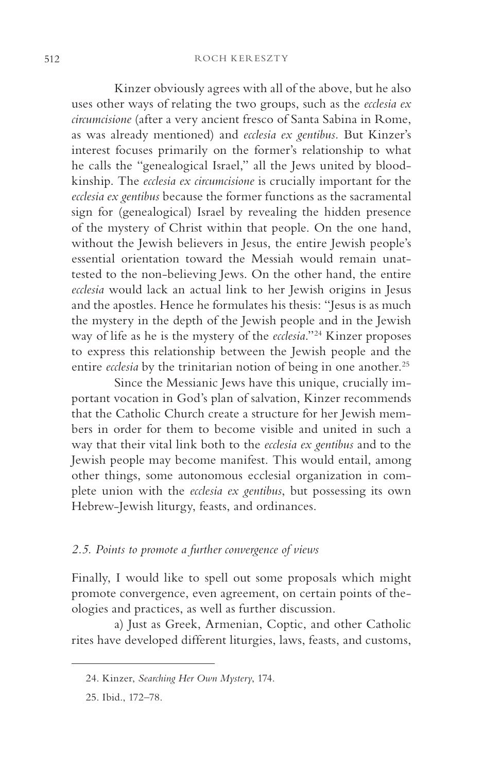#### 512 ROCH KERESZTY

Kinzer obviously agrees with all of the above, but he also uses other ways of relating the two groups, such as the *ecclesia ex circumcisione* (after a very ancient fresco of Santa Sabina in Rome, as was already mentioned) and *ecclesia ex gentibus.* But Kinzer's interest focuses primarily on the former's relationship to what he calls the "genealogical Israel," all the Jews united by bloodkinship. The *ecclesia ex circumcisione* is crucially important for the *ecclesia ex gentibus* because the former functions as the sacramental sign for (genealogical) Israel by revealing the hidden presence of the mystery of Christ within that people. On the one hand, without the Jewish believers in Jesus, the entire Jewish people's essential orientation toward the Messiah would remain unattested to the non-believing Jews. On the other hand, the entire *ecclesia* would lack an actual link to her Jewish origins in Jesus and the apostles. Hence he formulates his thesis: "Jesus is as much the mystery in the depth of the Jewish people and in the Jewish way of life as he is the mystery of the *ecclesia*."24 Kinzer proposes to express this relationship between the Jewish people and the entire *ecclesia* by the trinitarian notion of being in one another.<sup>25</sup>

Since the Messianic Jews have this unique, crucially important vocation in God's plan of salvation, Kinzer recommends that the Catholic Church create a structure for her Jewish members in order for them to become visible and united in such a way that their vital link both to the *ecclesia ex gentibus* and to the Jewish people may become manifest. This would entail, among other things, some autonomous ecclesial organization in complete union with the *ecclesia ex gentibus*, but possessing its own Hebrew-Jewish liturgy, feasts, and ordinances.

### *2.5. Points to promote a further convergence of views*

Finally, I would like to spell out some proposals which might promote convergence, even agreement, on certain points of theologies and practices, as well as further discussion.

a) Just as Greek, Armenian, Coptic, and other Catholic rites have developed different liturgies, laws, feasts, and customs,

<sup>24.</sup> Kinzer, *Searching Her Own Mystery*, 174.

<sup>25.</sup> Ibid., 172–78.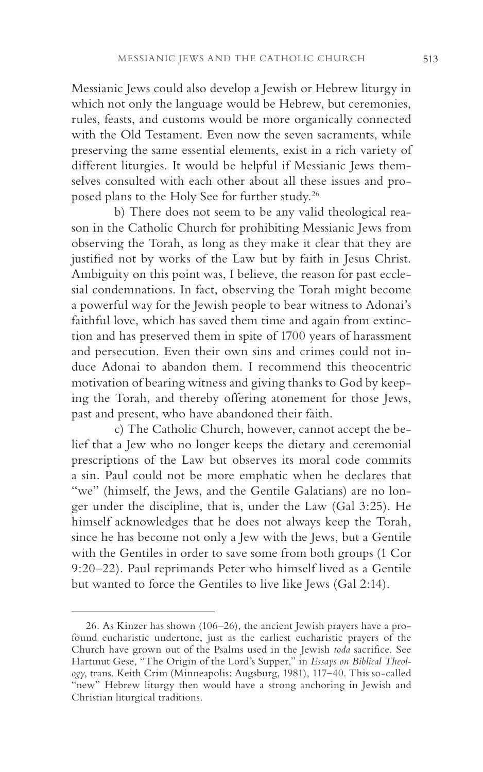Messianic Jews could also develop a Jewish or Hebrew liturgy in which not only the language would be Hebrew, but ceremonies, rules, feasts, and customs would be more organically connected with the Old Testament. Even now the seven sacraments, while preserving the same essential elements, exist in a rich variety of different liturgies. It would be helpful if Messianic Jews themselves consulted with each other about all these issues and proposed plans to the Holy See for further study.26

b) There does not seem to be any valid theological reason in the Catholic Church for prohibiting Messianic Jews from observing the Torah, as long as they make it clear that they are justified not by works of the Law but by faith in Jesus Christ. Ambiguity on this point was, I believe, the reason for past ecclesial condemnations. In fact, observing the Torah might become a powerful way for the Jewish people to bear witness to Adonai's faithful love, which has saved them time and again from extinction and has preserved them in spite of 1700 years of harassment and persecution. Even their own sins and crimes could not induce Adonai to abandon them. I recommend this theocentric motivation of bearing witness and giving thanks to God by keeping the Torah, and thereby offering atonement for those Jews, past and present, who have abandoned their faith.

c) The Catholic Church, however, cannot accept the belief that a Jew who no longer keeps the dietary and ceremonial prescriptions of the Law but observes its moral code commits a sin. Paul could not be more emphatic when he declares that "we" (himself, the Jews, and the Gentile Galatians) are no longer under the discipline, that is, under the Law (Gal 3:25). He himself acknowledges that he does not always keep the Torah, since he has become not only a Jew with the Jews, but a Gentile with the Gentiles in order to save some from both groups (1 Cor 9:20–22). Paul reprimands Peter who himself lived as a Gentile but wanted to force the Gentiles to live like Jews (Gal 2:14).

<sup>26.</sup> As Kinzer has shown (106–26), the ancient Jewish prayers have a profound eucharistic undertone, just as the earliest eucharistic prayers of the Church have grown out of the Psalms used in the Jewish *toda* sacrifice. See Hartmut Gese, "The Origin of the Lord's Supper," in *Essays on Biblical Theology*, trans. Keith Crim (Minneapolis: Augsburg, 1981), 117–40. This so-called "new" Hebrew liturgy then would have a strong anchoring in Jewish and Christian liturgical traditions.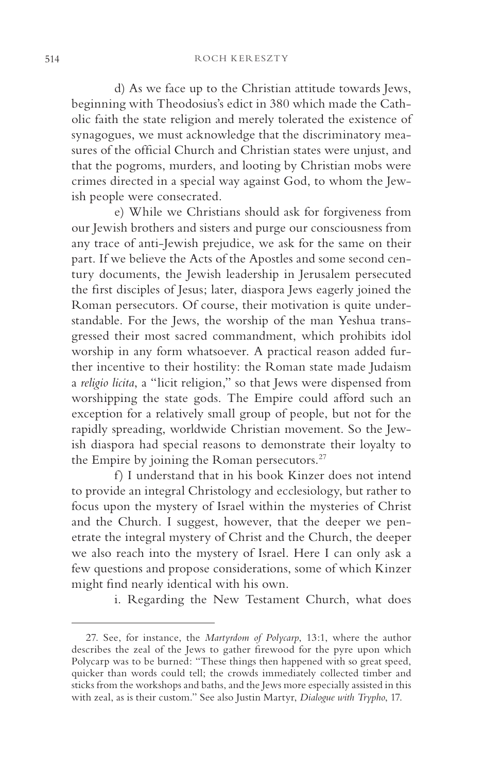d) As we face up to the Christian attitude towards Jews, beginning with Theodosius's edict in 380 which made the Catholic faith the state religion and merely tolerated the existence of synagogues, we must acknowledge that the discriminatory measures of the official Church and Christian states were unjust, and that the pogroms, murders, and looting by Christian mobs were crimes directed in a special way against God, to whom the Jewish people were consecrated.

e) While we Christians should ask for forgiveness from our Jewish brothers and sisters and purge our consciousness from any trace of anti-Jewish prejudice, we ask for the same on their part. If we believe the Acts of the Apostles and some second century documents, the Jewish leadership in Jerusalem persecuted the first disciples of Jesus; later, diaspora Jews eagerly joined the Roman persecutors. Of course, their motivation is quite understandable. For the Jews, the worship of the man Yeshua transgressed their most sacred commandment, which prohibits idol worship in any form whatsoever. A practical reason added further incentive to their hostility: the Roman state made Judaism a *religio licita*, a "licit religion," so that Jews were dispensed from worshipping the state gods. The Empire could afford such an exception for a relatively small group of people, but not for the rapidly spreading, worldwide Christian movement. So the Jewish diaspora had special reasons to demonstrate their loyalty to the Empire by joining the Roman persecutors.<sup>27</sup>

f) I understand that in his book Kinzer does not intend to provide an integral Christology and ecclesiology, but rather to focus upon the mystery of Israel within the mysteries of Christ and the Church. I suggest, however, that the deeper we penetrate the integral mystery of Christ and the Church, the deeper we also reach into the mystery of Israel. Here I can only ask a few questions and propose considerations, some of which Kinzer might find nearly identical with his own.

i. Regarding the New Testament Church, what does

<sup>27.</sup> See, for instance, the *Martyrdom of Polycarp*, 13:1, where the author describes the zeal of the Jews to gather firewood for the pyre upon which Polycarp was to be burned: "These things then happened with so great speed, quicker than words could tell; the crowds immediately collected timber and sticks from the workshops and baths, and the Jews more especially assisted in this with zeal, as is their custom." See also Justin Martyr, *Dialogue with Trypho*, 17.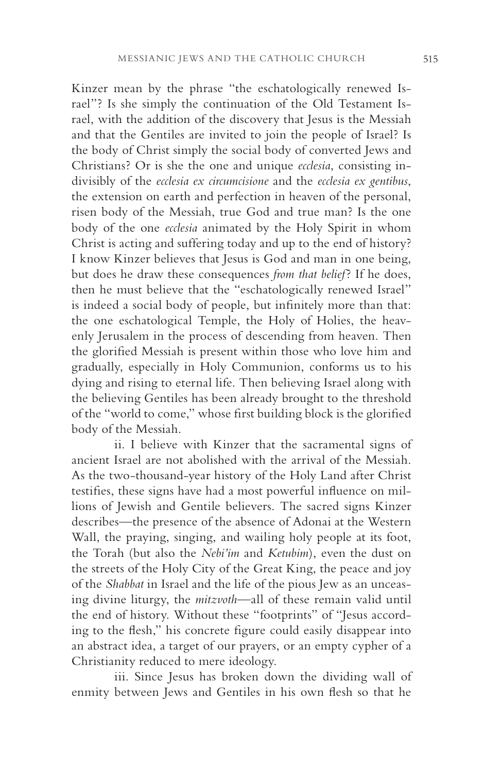Kinzer mean by the phrase "the eschatologically renewed Israel"? Is she simply the continuation of the Old Testament Israel, with the addition of the discovery that Jesus is the Messiah and that the Gentiles are invited to join the people of Israel? Is the body of Christ simply the social body of converted Jews and Christians? Or is she the one and unique *ecclesia*, consisting indivisibly of the *ecclesia ex circumcisione* and the *ecclesia ex gentibus*, the extension on earth and perfection in heaven of the personal, risen body of the Messiah, true God and true man? Is the one body of the one *ecclesia* animated by the Holy Spirit in whom Christ is acting and suffering today and up to the end of history? I know Kinzer believes that Jesus is God and man in one being, but does he draw these consequences *from that belief*? If he does, then he must believe that the "eschatologically renewed Israel" is indeed a social body of people, but infinitely more than that: the one eschatological Temple, the Holy of Holies, the heavenly Jerusalem in the process of descending from heaven. Then the glorified Messiah is present within those who love him and gradually, especially in Holy Communion, conforms us to his dying and rising to eternal life. Then believing Israel along with the believing Gentiles has been already brought to the threshold of the "world to come," whose first building block is the glorified body of the Messiah.

ii. I believe with Kinzer that the sacramental signs of ancient Israel are not abolished with the arrival of the Messiah. As the two-thousand-year history of the Holy Land after Christ testifies, these signs have had a most powerful influence on millions of Jewish and Gentile believers. The sacred signs Kinzer describes—the presence of the absence of Adonai at the Western Wall, the praying, singing, and wailing holy people at its foot, the Torah (but also the *Nebi'im* and *Ketubim*), even the dust on the streets of the Holy City of the Great King, the peace and joy of the *Shabbat* in Israel and the life of the pious Jew as an unceasing divine liturgy, the *mitzvoth*—all of these remain valid until the end of history. Without these "footprints" of "Jesus according to the flesh," his concrete figure could easily disappear into an abstract idea, a target of our prayers, or an empty cypher of a Christianity reduced to mere ideology.

iii. Since Jesus has broken down the dividing wall of enmity between Jews and Gentiles in his own flesh so that he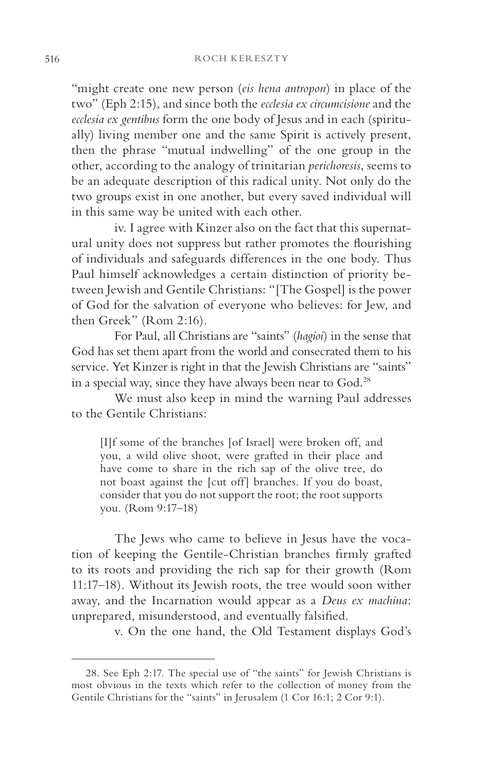"might create one new person (*eis hena antropon*) in place of the two" (Eph 2:15), and since both the *ecclesia ex circumcisione* and the *ecclesia ex gentibus* form the one body of Jesus and in each (spiritually) living member one and the same Spirit is actively present, then the phrase "mutual indwelling" of the one group in the other, according to the analogy of trinitarian *perichoresis*, seems to be an adequate description of this radical unity. Not only do the two groups exist in one another, but every saved individual will in this same way be united with each other.

iv. I agree with Kinzer also on the fact that this supernatural unity does not suppress but rather promotes the flourishing of individuals and safeguards differences in the one body. Thus Paul himself acknowledges a certain distinction of priority between Jewish and Gentile Christians: "[The Gospel] is the power of God for the salvation of everyone who believes: for Jew, and then Greek" (Rom 2:16).

For Paul, all Christians are "saints" (*hagioi*) in the sense that God has set them apart from the world and consecrated them to his service. Yet Kinzer is right in that the Jewish Christians are "saints" in a special way, since they have always been near to God.28

We must also keep in mind the warning Paul addresses to the Gentile Christians:

[I]f some of the branches [of Israel] were broken off, and you, a wild olive shoot, were grafted in their place and have come to share in the rich sap of the olive tree, do not boast against the [cut off] branches. If you do boast, consider that you do not support the root; the root supports you. (Rom 9:17–18)

The Jews who came to believe in Jesus have the vocation of keeping the Gentile-Christian branches firmly grafted to its roots and providing the rich sap for their growth (Rom 11:17–18). Without its Jewish roots, the tree would soon wither away, and the Incarnation would appear as a *Deus ex machina*: unprepared, misunderstood, and eventually falsified.

v. On the one hand, the Old Testament displays God's

<sup>28.</sup> See Eph 2:17. The special use of "the saints" for Jewish Christians is most obvious in the texts which refer to the collection of money from the Gentile Christians for the "saints" in Jerusalem (1 Cor 16:1; 2 Cor 9:1).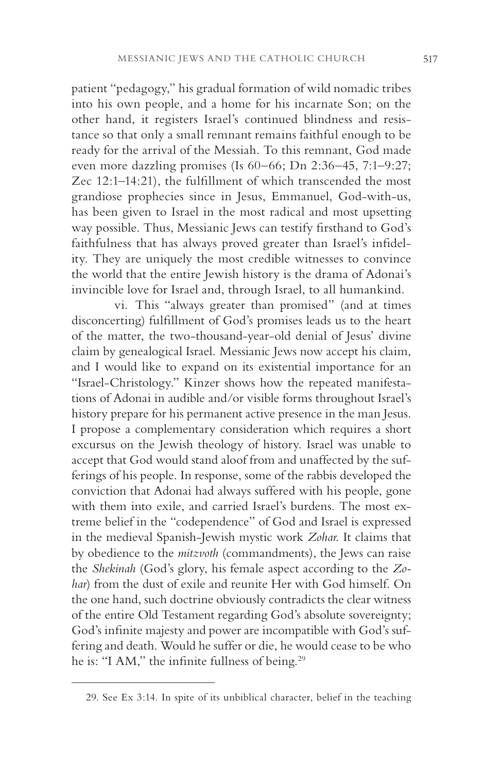patient "pedagogy," his gradual formation of wild nomadic tribes into his own people, and a home for his incarnate Son; on the other hand, it registers Israel's continued blindness and resistance so that only a small remnant remains faithful enough to be ready for the arrival of the Messiah. To this remnant, God made even more dazzling promises (Is 60–66; Dn 2:36–45, 7:1–9:27; Zec 12:1–14:21), the fulfillment of which transcended the most grandiose prophecies since in Jesus, Emmanuel, God-with-us, has been given to Israel in the most radical and most upsetting way possible. Thus, Messianic Jews can testify firsthand to God's faithfulness that has always proved greater than Israel's infidelity. They are uniquely the most credible witnesses to convince the world that the entire Jewish history is the drama of Adonai's invincible love for Israel and, through Israel, to all humankind.

vi. This "always greater than promised" (and at times disconcerting) fulfillment of God's promises leads us to the heart of the matter, the two-thousand-year-old denial of Jesus' divine claim by genealogical Israel. Messianic Jews now accept his claim, and I would like to expand on its existential importance for an "Israel-Christology." Kinzer shows how the repeated manifestations of Adonai in audible and/or visible forms throughout Israel's history prepare for his permanent active presence in the man Jesus. I propose a complementary consideration which requires a short excursus on the Jewish theology of history. Israel was unable to accept that God would stand aloof from and unaffected by the sufferings of his people. In response, some of the rabbis developed the conviction that Adonai had always suffered with his people, gone with them into exile, and carried Israel's burdens. The most extreme belief in the "codependence" of God and Israel is expressed in the medieval Spanish-Jewish mystic work *Zohar*. It claims that by obedience to the *mitzvoth* (commandments), the Jews can raise the *Shekinah* (God's glory, his female aspect according to the *Zohar*) from the dust of exile and reunite Her with God himself. On the one hand, such doctrine obviously contradicts the clear witness of the entire Old Testament regarding God's absolute sovereignty; God's infinite majesty and power are incompatible with God's suffering and death. Would he suffer or die, he would cease to be who he is: "I AM," the infinite fullness of being.<sup>29</sup>

<sup>29.</sup> See Ex 3:14. In spite of its unbiblical character, belief in the teaching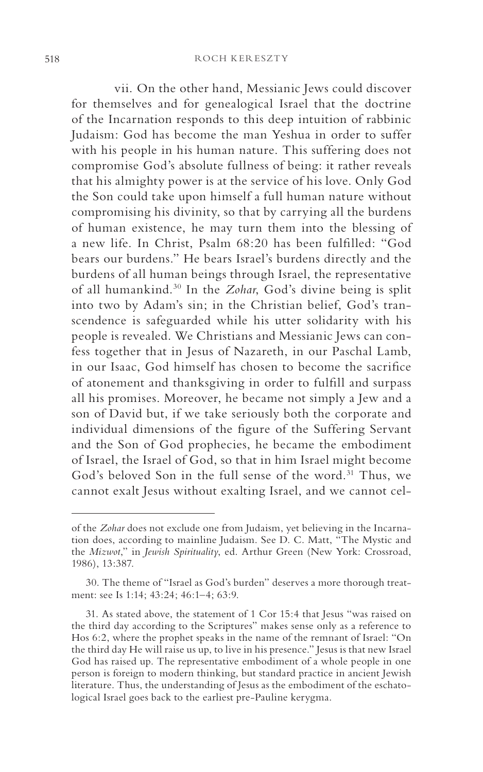vii. On the other hand, Messianic Jews could discover for themselves and for genealogical Israel that the doctrine of the Incarnation responds to this deep intuition of rabbinic Judaism: God has become the man Yeshua in order to suffer with his people in his human nature. This suffering does not compromise God's absolute fullness of being: it rather reveals that his almighty power is at the service of his love. Only God the Son could take upon himself a full human nature without compromising his divinity, so that by carrying all the burdens of human existence, he may turn them into the blessing of a new life. In Christ, Psalm 68:20 has been fulfilled: "God bears our burdens." He bears Israel's burdens directly and the burdens of all human beings through Israel, the representative of all humankind.30 In the *Zohar*, God's divine being is split into two by Adam's sin; in the Christian belief, God's transcendence is safeguarded while his utter solidarity with his people is revealed. We Christians and Messianic Jews can confess together that in Jesus of Nazareth, in our Paschal Lamb, in our Isaac, God himself has chosen to become the sacrifice of atonement and thanksgiving in order to fulfill and surpass all his promises. Moreover, he became not simply a Jew and a son of David but, if we take seriously both the corporate and individual dimensions of the figure of the Suffering Servant and the Son of God prophecies, he became the embodiment of Israel, the Israel of God, so that in him Israel might become God's beloved Son in the full sense of the word.<sup>31</sup> Thus, we cannot exalt Jesus without exalting Israel, and we cannot cel-

of the *Zohar* does not exclude one from Judaism, yet believing in the Incarnation does, according to mainline Judaism. See D. C. Matt, "The Mystic and the *Mizwot*," in *Jewish Spirituality*, ed. Arthur Green (New York: Crossroad, 1986), 13:387.

<sup>30.</sup> The theme of "Israel as God's burden" deserves a more thorough treatment: see Is 1:14; 43:24; 46:1–4; 63:9.

<sup>31.</sup> As stated above, the statement of 1 Cor 15:4 that Jesus "was raised on the third day according to the Scriptures" makes sense only as a reference to Hos 6:2, where the prophet speaks in the name of the remnant of Israel: "On the third day He will raise us up, to live in his presence." Jesus is that new Israel God has raised up. The representative embodiment of a whole people in one person is foreign to modern thinking, but standard practice in ancient Jewish literature. Thus, the understanding of Jesus as the embodiment of the eschatological Israel goes back to the earliest pre-Pauline kerygma.